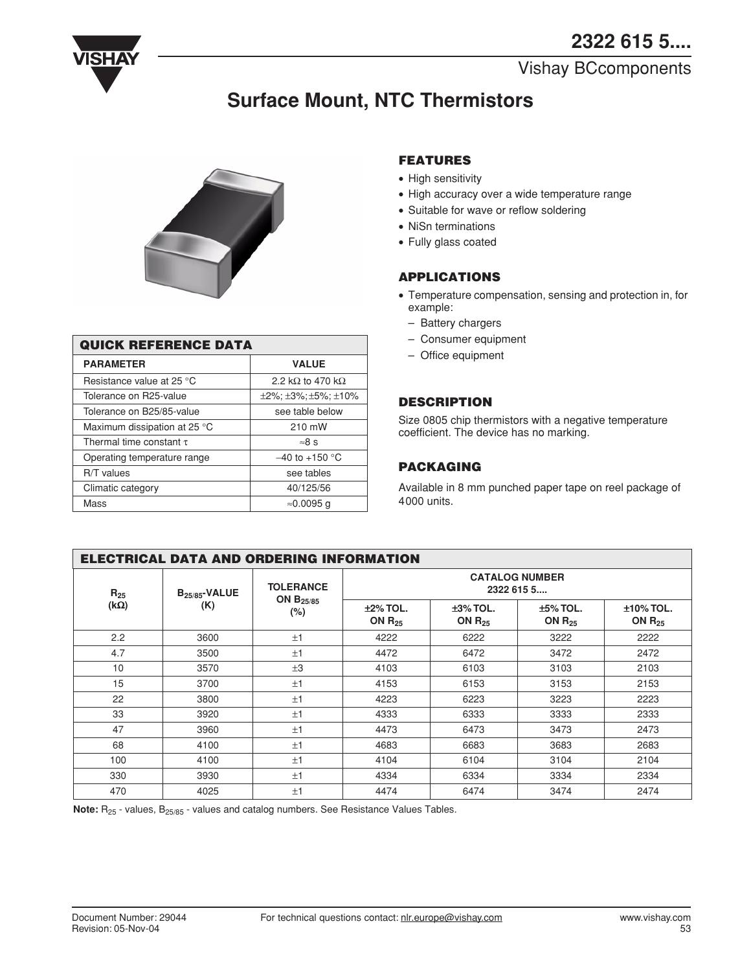

## Vishay BCcomponents

# **Surface Mount, NTC Thermistors**



| <b>QUICK REFERENCE DATA</b>  |                                                |  |  |
|------------------------------|------------------------------------------------|--|--|
| <b>PARAMETER</b>             | <b>VALUE</b>                                   |  |  |
| Resistance value at 25 °C    | 2.2 k $\Omega$ to 470 k $\Omega$               |  |  |
| Tolerance on R25-value       | $\pm 2\%$ ; $\pm 3\%$ ; $\pm 5\%$ ; $\pm 10\%$ |  |  |
| Tolerance on B25/85-value    | see table below                                |  |  |
| Maximum dissipation at 25 °C | 210 mW                                         |  |  |
| Thermal time constant $\tau$ | $\approx 8$ s                                  |  |  |
| Operating temperature range  | $-40$ to $+150$ °C                             |  |  |
| R/T values                   | see tables                                     |  |  |
| Climatic category            | 40/125/56                                      |  |  |
| Mass                         | ≈0.0095 a                                      |  |  |

## **FEATURES**

- High sensitivity
- ∑ High accuracy over a wide temperature range
- Suitable for wave or reflow soldering
- ∑ NiSn terminations
- ∑ Fully glass coated

## **APPLICATIONS**

- ∑ Temperature compensation, sensing and protection in, for example:
	- Battery chargers
	- Consumer equipment
	- Office equipment

## **DESCRIPTION**

Size 0805 chip thermistors with a negative temperature coefficient. The device has no marking.

## **PACKAGING**

Available in 8 mm punched paper tape on reel package of 4000 units.

| <b>ELECTRICAL DATA AND ORDERING INFORMATION</b> |                    |                                              |                                     |                            |                            |                             |
|-------------------------------------------------|--------------------|----------------------------------------------|-------------------------------------|----------------------------|----------------------------|-----------------------------|
| $R_{25}$                                        | $B_{25/85}$ -VALUE | <b>TOLERANCE</b><br>ON $B_{25/85}$<br>$(\%)$ | <b>CATALOG NUMBER</b><br>2322 615 5 |                            |                            |                             |
| $(k\Omega)$                                     | (K)                |                                              | $±2\%$ TOL.<br>ON $R_{25}$          | $±3\%$ TOL.<br>ON $R_{25}$ | $±5\%$ TOL.<br>ON $R_{25}$ | $±10\%$ TOL.<br>ON $R_{25}$ |
| 2.2                                             | 3600               | ±1                                           | 4222                                | 6222                       | 3222                       | 2222                        |
| 4.7                                             | 3500               | ±1                                           | 4472                                | 6472                       | 3472                       | 2472                        |
| 10                                              | 3570               | $\pm 3$                                      | 4103                                | 6103                       | 3103                       | 2103                        |
| 15                                              | 3700               | ±1                                           | 4153                                | 6153                       | 3153                       | 2153                        |
| 22                                              | 3800               | ±1                                           | 4223                                | 6223                       | 3223                       | 2223                        |
| 33                                              | 3920               | ±1                                           | 4333                                | 6333                       | 3333                       | 2333                        |
| 47                                              | 3960               | ±1                                           | 4473                                | 6473                       | 3473                       | 2473                        |
| 68                                              | 4100               | ±1                                           | 4683                                | 6683                       | 3683                       | 2683                        |
| 100                                             | 4100               | ±1                                           | 4104                                | 6104                       | 3104                       | 2104                        |
| 330                                             | 3930               | $+1$                                         | 4334                                | 6334                       | 3334                       | 2334                        |
| 470                                             | 4025               | ±1                                           | 4474                                | 6474                       | 3474                       | 2474                        |

Note: R<sub>25</sub> - values, B<sub>25/85</sub> - values and catalog numbers. See Resistance Values Tables.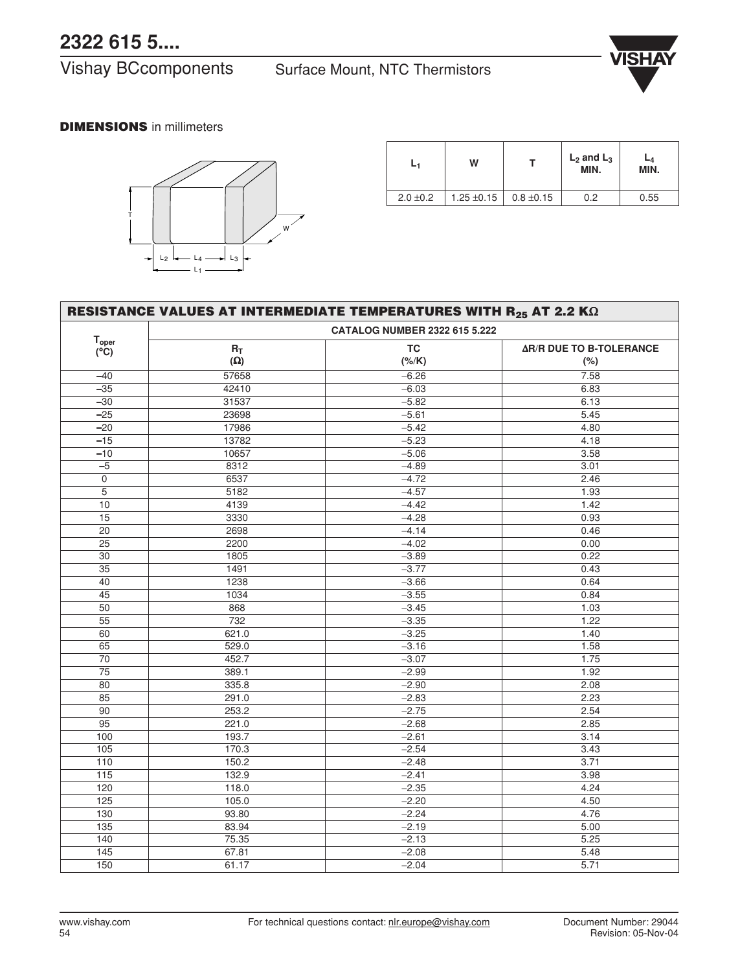Vishay BCcomponents Surface Mount, NTC Thermistors



## **DIMENSIONS** in millimeters



|               | w               |                | $L_2$ and $L_3$<br>MIN. | -4<br>MIN. |
|---------------|-----------------|----------------|-------------------------|------------|
| $2.0 \pm 0.2$ | 1.25 $\pm$ 0.15 | $0.8 \pm 0.15$ | 0.2                     | 0.55       |

| RESISTANCE VALUES AT INTERMEDIATE TEMPERATURES WITH $R_{25}$ AT 2.2 K $\Omega$ |            |                                      |                                |
|--------------------------------------------------------------------------------|------------|--------------------------------------|--------------------------------|
|                                                                                |            | <b>CATALOG NUMBER 2322 615 5.222</b> |                                |
| $\mathsf{T}_{\mathsf{oper}}$                                                   | $R_T$      | <b>TC</b>                            | <b>AR/R DUE TO B-TOLERANCE</b> |
| $(\overline{C})$                                                               | $(\Omega)$ | $(\frac{\%}{K})$                     | (%)                            |
| $-40$                                                                          | 57658      | $-6.26$                              | 7.58                           |
| $-35$                                                                          | 42410      | $-6.03$                              | 6.83                           |
| $-30$                                                                          | 31537      | $-5.82$                              | 6.13                           |
| $-25$                                                                          | 23698      | $-5.61$                              | 5.45                           |
| $-20$                                                                          | 17986      | $-5.42$                              | 4.80                           |
| $-15$                                                                          | 13782      | $-5.23$                              | 4.18                           |
| $-10$                                                                          | 10657      | $-5.06$                              | 3.58                           |
| $-5$                                                                           | 8312       | $-4.89$                              | 3.01                           |
| $\mathbf 0$                                                                    | 6537       | $-4.72$                              | 2.46                           |
| $\overline{5}$                                                                 | 5182       | $-4.57$                              | 1.93                           |
| 10                                                                             | 4139       | $-4.42$                              | 1.42                           |
| $\overline{15}$                                                                | 3330       | $-4.28$                              | 0.93                           |
| $\overline{20}$                                                                | 2698       | $-4.14$                              | 0.46                           |
| $\overline{25}$                                                                | 2200       | $-4.02$                              | 0.00                           |
| $\overline{30}$                                                                | 1805       | $-3.89$                              | 0.22                           |
| $\overline{35}$                                                                | 1491       | $-3.77$                              | 0.43                           |
| $\overline{40}$                                                                | 1238       | $-3.66$                              | 0.64                           |
| $\overline{45}$                                                                | 1034       | $-3.55$                              | 0.84                           |
| $\overline{50}$                                                                | 868        | $-3.45$                              | 1.03                           |
| $\overline{55}$                                                                | 732        | $-3.35$                              | 1.22                           |
| 60                                                                             | 621.0      | $-3.25$                              | 1.40                           |
| 65                                                                             | 529.0      | $-3.16$                              | 1.58                           |
| $\overline{70}$                                                                | 452.7      | $-3.07$                              | 1.75                           |
| $\overline{75}$                                                                | 389.1      | $-2.99$                              | 1.92                           |
| $\overline{80}$                                                                | 335.8      | $-2.90$                              | 2.08                           |
| 85                                                                             | 291.0      | $-2.83$                              | 2.23                           |
| 90                                                                             | 253.2      | $-2.75$                              | 2.54                           |
| $\overline{95}$                                                                | 221.0      | $-2.68$                              | 2.85                           |
| 100                                                                            | 193.7      | $-2.61$                              | 3.14                           |
| $\overline{105}$                                                               | 170.3      | $-2.54$                              | 3.43                           |
| 110                                                                            | 150.2      | $-2.48$                              | 3.71                           |
| $\overline{115}$                                                               | 132.9      | $-2.41$                              | 3.98                           |
| 120                                                                            | 118.0      | $-2.35$                              | 4.24                           |
| 125                                                                            | 105.0      | $-2.20$                              | 4.50                           |
| $\frac{130}{ }$                                                                | 93.80      | $-2.24$                              | 4.76                           |
| 135                                                                            | 83.94      | $-2.19$                              | 5.00                           |
| 140                                                                            | 75.35      | $-2.13$                              | 5.25                           |
| 145                                                                            | 67.81      | $-2.08$                              | 5.48                           |
| 150                                                                            | 61.17      | $-2.04$                              | 5.71                           |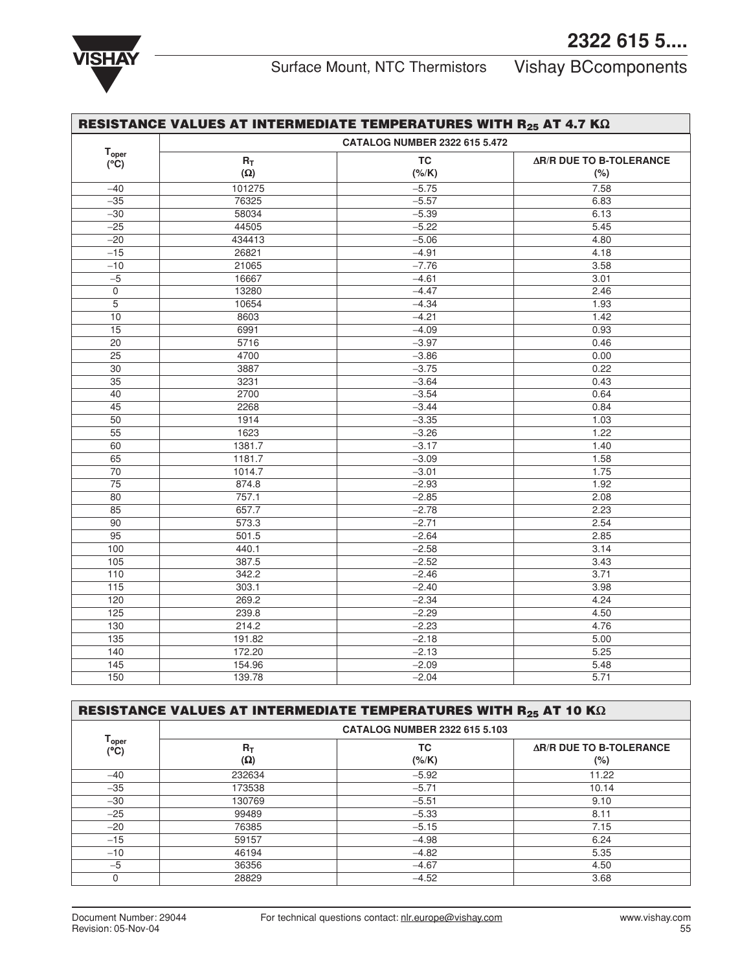

|                                    |            | <b>CATALOG NUMBER 2322 615 5.472</b> |                                |
|------------------------------------|------------|--------------------------------------|--------------------------------|
| T <sub>oper</sub><br>$(^{\circ}C)$ | $R_T$      | <b>TC</b>                            | <b>AR/R DUE TO B-TOLERANCE</b> |
|                                    | $(\Omega)$ | $(*/K)$                              | (%)                            |
| $-40$                              | 101275     | $-5.75$                              | 7.58                           |
| $-35$                              | 76325      | $-5.57$                              | 6.83                           |
| $-30$                              | 58034      | $-5.39$                              | 6.13                           |
| $-25$                              | 44505      | $-5.22$                              | 5.45                           |
| $-20$                              | 434413     | $-5.06$                              | 4.80                           |
| $-15$                              | 26821      | $-4.91$                              | 4.18                           |
| $-10$                              | 21065      | $-7.76$                              | 3.58                           |
| $-5$                               | 16667      | $-4.61$                              | 3.01                           |
| $\mathsf{O}\xspace$                | 13280      | $-4.47$                              | 2.46                           |
| 5                                  | 10654      | $-4.34$                              | 1.93                           |
| $10$                               | 8603       | $-4.21$                              | 1.42                           |
| $\overline{15}$                    | 6991       | $-4.09$                              | 0.93                           |
| $\overline{20}$                    | 5716       | $-3.97$                              | 0.46                           |
| $\overline{25}$                    | 4700       | $-3.86$                              | 0.00                           |
| $\overline{30}$                    | 3887       | $-3.75$                              | 0.22                           |
| 35                                 | 3231       | $-3.64$                              | 0.43                           |
| 40                                 | 2700       | $-3.54$                              | 0.64                           |
| $\overline{45}$                    | 2268       | $-3.44$                              | 0.84                           |
| 50                                 | 1914       | $-3.35$                              | 1.03                           |
| $\overline{55}$                    | 1623       | $-3.26$                              | 1.22                           |
| 60                                 | 1381.7     | $-3.17$                              | 1.40                           |
| 65                                 | 1181.7     | $-3.09$                              | 1.58                           |
| $\overline{70}$                    | 1014.7     | $-3.01$                              | 1.75                           |
| $\overline{75}$                    | 874.8      | $-2.93$                              | 1.92                           |
| 80                                 | 757.1      | $-2.85$                              | 2.08                           |
| 85                                 | 657.7      | $-2.78$                              | 2.23                           |
| 90                                 | 573.3      | $-2.71$                              | 2.54                           |
| $\overline{95}$                    | 501.5      | $-2.64$                              | 2.85                           |
| 100                                | 440.1      | $-2.58$                              | 3.14                           |
| 105                                | 387.5      | $-2.52$                              | 3.43                           |
| 110                                | 342.2      | $-2.46$                              | 3.71                           |
| 115                                | 303.1      | $-2.40$                              | 3.98                           |
| 120                                | 269.2      | $-2.34$                              | 4.24                           |
| 125                                | 239.8      | $-2.29$                              | 4.50                           |
| 130                                | 214.2      | $-2.23$                              | 4.76                           |
| 135                                | 191.82     | $-2.18$                              | 5.00                           |
| 140                                | 172.20     | $-2.13$                              | 5.25                           |
| $\overline{145}$                   | 154.96     | $-2.09$                              | 5.48                           |
| 150                                | 139.78     | $-2.04$                              | 5.71                           |

| RESISTANCE VALUES AT INTERMEDIATE TEMPERATURES WITH $R_{25}$ AT 10 K $\Omega$ |                     |                                      |                                          |  |
|-------------------------------------------------------------------------------|---------------------|--------------------------------------|------------------------------------------|--|
|                                                                               |                     | <b>CATALOG NUMBER 2322 615 5.103</b> |                                          |  |
| T <sub>oper</sub><br>(°C)                                                     | $R_T$<br>$(\Omega)$ | TC<br>(% / K)                        | <b>AR/R DUE TO B-TOLERANCE</b><br>$(\%)$ |  |
| $-40$                                                                         | 232634              | $-5.92$                              | 11.22                                    |  |
| $-35$                                                                         | 173538              | $-5.71$                              | 10.14                                    |  |
| $-30$                                                                         | 130769              | $-5.51$                              | 9.10                                     |  |
| $-25$                                                                         | 99489               | $-5.33$                              | 8.11                                     |  |
| $-20$                                                                         | 76385               | $-5.15$                              | 7.15                                     |  |
| $-15$                                                                         | 59157               | $-4.98$                              | 6.24                                     |  |
| $-10$                                                                         | 46194               | $-4.82$                              | 5.35                                     |  |
| $-5$                                                                          | 36356               | $-4.67$                              | 4.50                                     |  |
|                                                                               | 28829               | $-4.52$                              | 3.68                                     |  |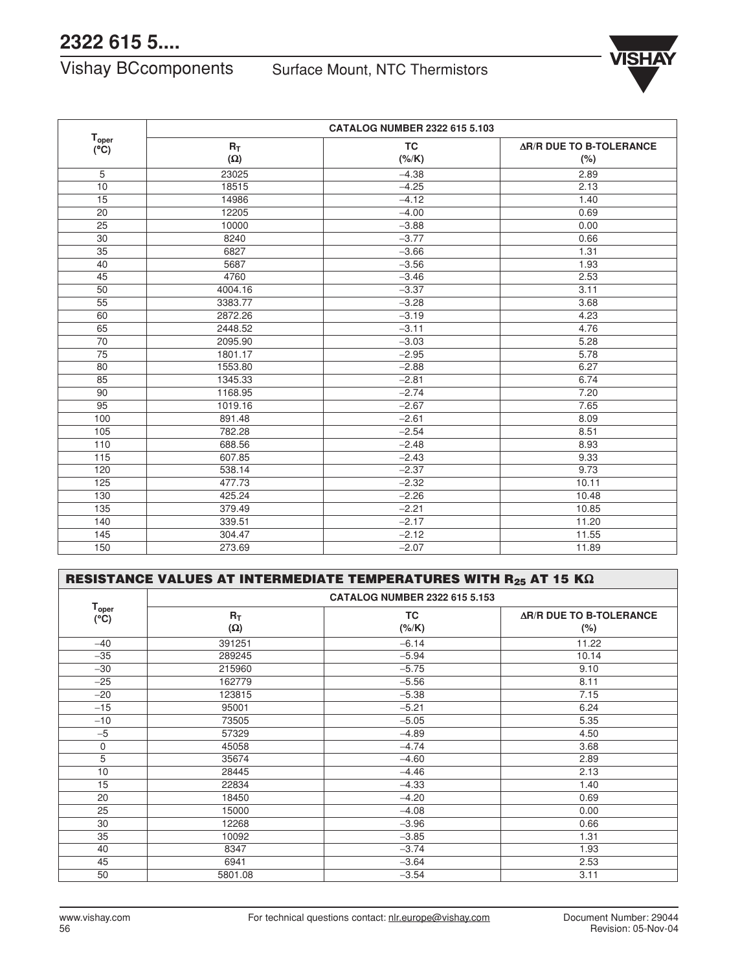Vishay BCcomponents Surface Mount, NTC Thermistors



|                        |            | CATALOG NUMBER 2322 615 5.103 |                                |  |
|------------------------|------------|-------------------------------|--------------------------------|--|
| $T_{\rm oper}$<br>(°C) | $R_T$      | <b>TC</b>                     | <b>AR/R DUE TO B-TOLERANCE</b> |  |
|                        | $(\Omega)$ | (%K)                          | (%)                            |  |
| 5                      | 23025      | $-4.38$                       | 2.89                           |  |
| 10                     | 18515      | $-4.25$                       | 2.13                           |  |
| 15                     | 14986      | $-4.12$                       | 1.40                           |  |
| 20                     | 12205      | $-4.00$                       | 0.69                           |  |
| 25                     | 10000      | $-3.88$                       | 0.00                           |  |
| 30                     | 8240       | $-3.77$                       | 0.66                           |  |
| 35                     | 6827       | $-3.66$                       | 1.31                           |  |
| 40                     | 5687       | $-3.56$                       | 1.93                           |  |
| 45                     | 4760       | $-3.46$                       | 2.53                           |  |
| 50                     | 4004.16    | $-3.37$                       | 3.11                           |  |
| 55                     | 3383.77    | $-3.28$                       | 3.68                           |  |
| 60                     | 2872.26    | $-3.19$                       | 4.23                           |  |
| 65                     | 2448.52    | $-3.11$                       | 4.76                           |  |
| 70                     | 2095.90    | $-3.03$                       | 5.28                           |  |
| 75                     | 1801.17    | $-2.95$                       | 5.78                           |  |
| 80                     | 1553.80    | $-2.88$                       | 6.27                           |  |
| 85                     | 1345.33    | $-2.81$                       | 6.74                           |  |
| 90                     | 1168.95    | $-2.74$                       | 7.20                           |  |
| 95                     | 1019.16    | $-2.67$                       | 7.65                           |  |
| 100                    | 891.48     | $-2.61$                       | 8.09                           |  |
| 105                    | 782.28     | $-2.54$                       | 8.51                           |  |
| 110                    | 688.56     | $-2.48$                       | 8.93                           |  |
| 115                    | 607.85     | $-2.43$                       | 9.33                           |  |
| 120                    | 538.14     | $-2.37$                       | 9.73                           |  |
| 125                    | 477.73     | $-2.32$                       | 10.11                          |  |
| 130                    | 425.24     | $-2.26$                       | 10.48                          |  |
| 135                    | 379.49     | $-2.21$                       | 10.85                          |  |
| 140                    | 339.51     | $-2.17$                       | 11.20                          |  |
| 145                    | 304.47     | $-2.12$                       | 11.55                          |  |
| 150                    | 273.69     | $-2.07$                       | 11.89                          |  |

| RESISTANCE VALUES AT INTERMEDIATE TEMPERATURES WITH $R_{25}$ AT 15 K $\Omega$ |                     |                                      |                                          |  |
|-------------------------------------------------------------------------------|---------------------|--------------------------------------|------------------------------------------|--|
| T <sub>oper</sub><br>(°C)                                                     |                     | <b>CATALOG NUMBER 2322 615 5.153</b> |                                          |  |
|                                                                               | $R_T$<br>$(\Omega)$ | <b>TC</b><br>$(*/K)$                 | <b>AR/R DUE TO B-TOLERANCE</b><br>$(\%)$ |  |
| $-40$                                                                         | 391251              | $-6.14$                              | 11.22                                    |  |
| $-35$                                                                         | 289245              | $-5.94$                              | 10.14                                    |  |
| $-30$                                                                         | 215960              | $-5.75$                              | 9.10                                     |  |
| $-25$                                                                         | 162779              | $-5.56$                              | 8.11                                     |  |
| $-20$                                                                         | 123815              | $-5.38$                              | 7.15                                     |  |
| $-15$                                                                         | 95001               | $-5.21$                              | 6.24                                     |  |
| $-10$                                                                         | 73505               | $-5.05$                              | 5.35                                     |  |
| $-5$                                                                          | 57329               | $-4.89$                              | 4.50                                     |  |
| 0                                                                             | 45058               | $-4.74$                              | 3.68                                     |  |
| 5                                                                             | 35674               | $-4.60$                              | 2.89                                     |  |
| 10                                                                            | 28445               | $-4.46$                              | 2.13                                     |  |
| 15                                                                            | 22834               | $-4.33$                              | 1.40                                     |  |
| 20                                                                            | 18450               | $-4.20$                              | 0.69                                     |  |
| 25                                                                            | 15000               | $-4.08$                              | 0.00                                     |  |
| 30                                                                            | 12268               | $-3.96$                              | 0.66                                     |  |
| 35                                                                            | 10092               | $-3.85$                              | 1.31                                     |  |
| 40                                                                            | 8347                | $-3.74$                              | 1.93                                     |  |
| 45                                                                            | 6941                | $-3.64$                              | 2.53                                     |  |
| 50                                                                            | 5801.08             | $-3.54$                              | 3.11                                     |  |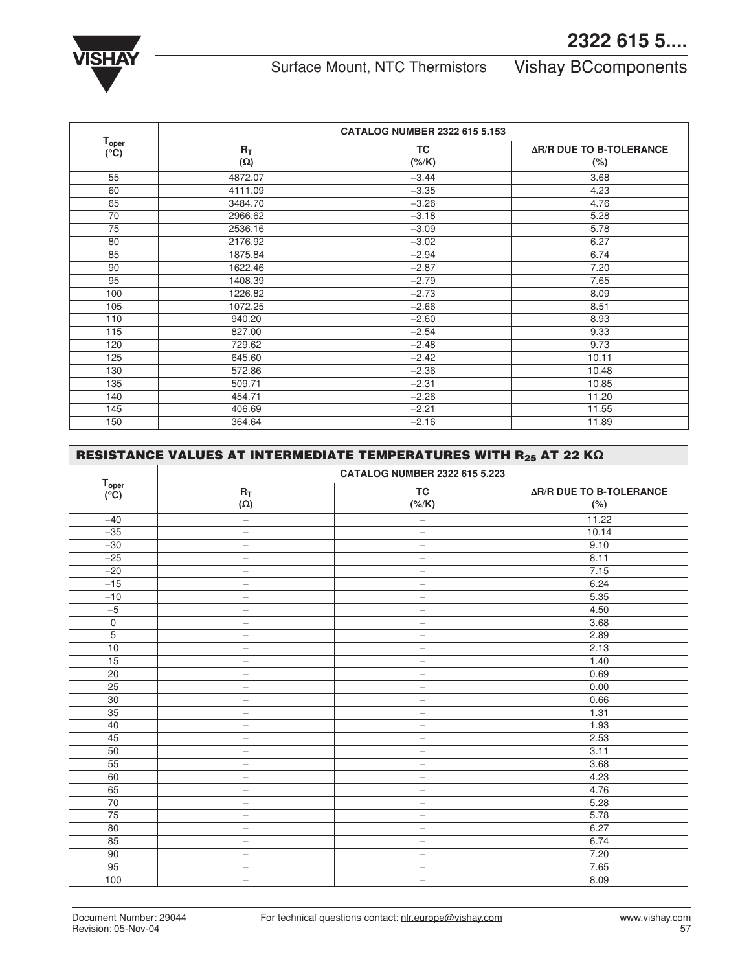

Surface Mount, NTC Thermistors Vishay BCcomponents

|                           |                     | <b>CATALOG NUMBER 2322 615 5.153</b> |                                          |
|---------------------------|---------------------|--------------------------------------|------------------------------------------|
| T <sub>oper</sub><br>(°C) | $R_T$<br>$(\Omega)$ | <b>TC</b><br>$(*/K)$                 | <b>AR/R DUE TO B-TOLERANCE</b><br>$(\%)$ |
| 55                        | 4872.07             | $-3.44$                              | 3.68                                     |
| 60                        | 4111.09             | $-3.35$                              | 4.23                                     |
| 65                        | 3484.70             | $-3.26$                              | 4.76                                     |
| 70                        | 2966.62             | $-3.18$                              | 5.28                                     |
| 75                        | 2536.16             | $-3.09$                              | 5.78                                     |
| 80                        | 2176.92             | $-3.02$                              | 6.27                                     |
| 85                        | 1875.84             | $-2.94$                              | 6.74                                     |
| 90                        | 1622.46             | $-2.87$                              | 7.20                                     |
| 95                        | 1408.39             | $-2.79$                              | 7.65                                     |
| 100                       | 1226.82             | $-2.73$                              | 8.09                                     |
| 105                       | 1072.25             | $-2.66$                              | 8.51                                     |
| 110                       | 940.20              | $-2.60$                              | 8.93                                     |
| 115                       | 827.00              | $-2.54$                              | 9.33                                     |
| 120                       | 729.62              | $-2.48$                              | 9.73                                     |
| 125                       | 645.60              | $-2.42$                              | 10.11                                    |
| 130                       | 572.86              | $-2.36$                              | 10.48                                    |
| 135                       | 509.71              | $-2.31$                              | 10.85                                    |
| 140                       | 454.71              | $-2.26$                              | 11.20                                    |
| 145                       | 406.69              | $-2.21$                              | 11.55                                    |
| 150                       | 364.64              | $-2.16$                              | 11.89                                    |

| RESISTANCE VALUES AT INTERMEDIATE TEMPERATURES WITH $R_{25}$ AT 22 K $\Omega$ |                          |                                      |                                |
|-------------------------------------------------------------------------------|--------------------------|--------------------------------------|--------------------------------|
|                                                                               |                          | <b>CATALOG NUMBER 2322 615 5.223</b> |                                |
| $T_{\text{oper}}$<br>(°C)                                                     | $R_T$                    | <b>TC</b>                            | <b>AR/R DUE TO B-TOLERANCE</b> |
|                                                                               | $(\Omega)$               | $(\%/K)$                             | (%)                            |
| $-40$                                                                         | $\qquad \qquad -$        | $\qquad \qquad -$                    | 11.22                          |
| $-35$                                                                         | $\qquad \qquad -$        | $\qquad \qquad -$                    | 10.14                          |
| $-30$                                                                         | $\overline{\phantom{0}}$ | $\overline{\phantom{m}}$             | 9.10                           |
| $-25$                                                                         | $\overline{\phantom{0}}$ | $\qquad \qquad -$                    | 8.11                           |
| $-20$                                                                         | $\overline{\phantom{0}}$ | $\qquad \qquad -$                    | 7.15                           |
| $-15$                                                                         | $\qquad \qquad -$        | $\qquad \qquad -$                    | 6.24                           |
| $-10$                                                                         | $\overline{\phantom{0}}$ | $\overline{\phantom{m}}$             | 5.35                           |
| $-5$                                                                          | $\overline{\phantom{0}}$ | $\overline{\phantom{m}}$             | 4.50                           |
| $\mathsf 0$                                                                   | $\qquad \qquad -$        | $\qquad \qquad -$                    | 3.68                           |
| $\overline{5}$                                                                | $\overline{\phantom{m}}$ | $\qquad \qquad -$                    | 2.89                           |
| 10                                                                            | $\overline{\phantom{0}}$ | $\qquad \qquad -$                    | 2.13                           |
| 15                                                                            | $\qquad \qquad -$        | $\overline{\phantom{m}}$             | 1.40                           |
| 20                                                                            | $\overline{\phantom{0}}$ | $\overline{\phantom{0}}$             | 0.69                           |
| 25                                                                            | $\overline{\phantom{0}}$ | $\overline{\phantom{0}}$             | 0.00                           |
| 30                                                                            | $\overline{\phantom{0}}$ | $\qquad \qquad -$                    | 0.66                           |
| 35                                                                            | $\overline{\phantom{0}}$ | $\qquad \qquad -$                    | 1.31                           |
| 40                                                                            | $\overline{\phantom{0}}$ | $\overline{\phantom{m}}$             | 1.93                           |
| 45                                                                            | $\qquad \qquad -$        | $\overline{\phantom{0}}$             | 2.53                           |
| 50                                                                            | $\overline{\phantom{0}}$ | $\qquad \qquad -$                    | 3.11                           |
| 55                                                                            | $\overline{\phantom{0}}$ | $\qquad \qquad -$                    | 3.68                           |
| 60                                                                            | $\overline{\phantom{0}}$ | $\qquad \qquad -$                    | 4.23                           |
| 65                                                                            | $\overline{\phantom{0}}$ | $\overline{\phantom{m}}$             | 4.76                           |
| 70                                                                            | $\overline{\phantom{0}}$ | $\qquad \qquad -$                    | 5.28                           |
| 75                                                                            | $\qquad \qquad -$        | $\overline{\phantom{0}}$             | 5.78                           |
| 80                                                                            | $\overline{\phantom{0}}$ | $\qquad \qquad -$                    | 6.27                           |
| 85                                                                            | -                        | $\qquad \qquad -$                    | 6.74                           |
| 90                                                                            | $\overline{\phantom{0}}$ | $\qquad \qquad -$                    | 7.20                           |
| 95                                                                            | $\qquad \qquad -$        | $\qquad \qquad -$                    | 7.65                           |
| 100                                                                           | $\overline{\phantom{0}}$ | $\overline{\phantom{0}}$             | 8.09                           |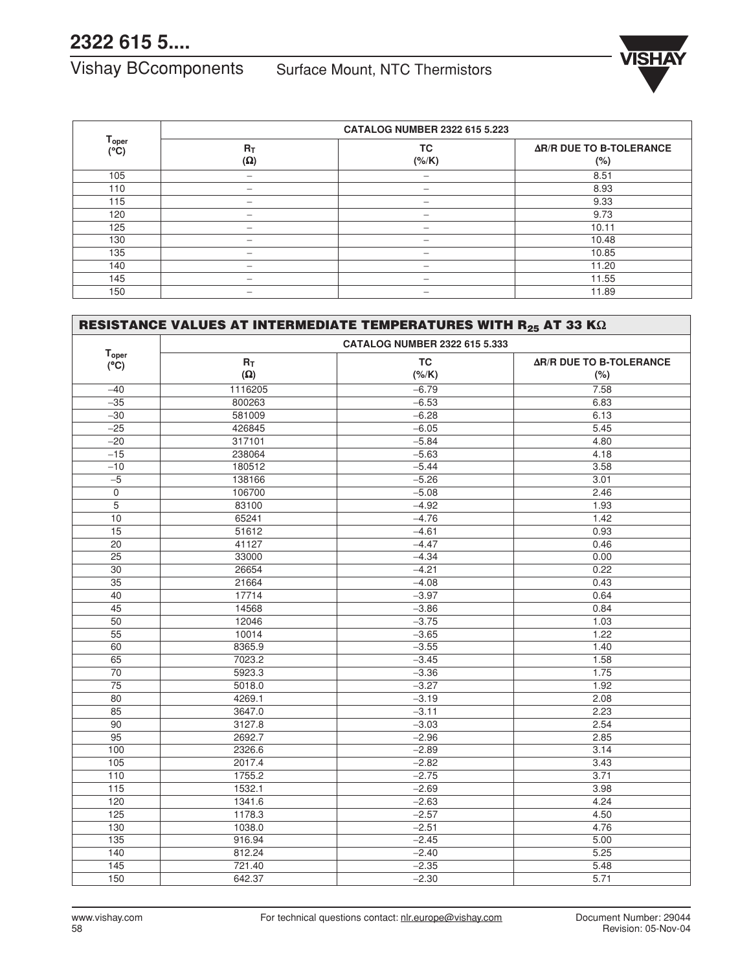# Vishay BCcomponents Surface Mount, NTC Thermistors



|                           |                     | <b>CATALOG NUMBER 2322 615 5.223</b> |                                          |
|---------------------------|---------------------|--------------------------------------|------------------------------------------|
| T <sub>oper</sub><br>(°C) | $R_T$<br>$(\Omega)$ | TC<br>(% / K)                        | <b>AR/R DUE TO B-TOLERANCE</b><br>$(\%)$ |
| 105                       |                     | -                                    | 8.51                                     |
| 110                       | -                   | -                                    | 8.93                                     |
| 115                       | –                   | $\overline{\phantom{m}}$             | 9.33                                     |
| 120                       |                     | $\overline{\phantom{0}}$             | 9.73                                     |
| 125                       | –                   | $\overline{\phantom{0}}$             | 10.11                                    |
| 130                       | —                   | $\qquad \qquad \longleftarrow$       | 10.48                                    |
| 135                       | –                   | $\overline{\phantom{0}}$             | 10.85                                    |
| 140                       | –                   | $\overline{\phantom{0}}$             | 11.20                                    |
| 145                       |                     | $\overline{\phantom{0}}$             | 11.55                                    |
| 150                       |                     |                                      | 11.89                                    |

|                          | RESISTANCE VALUES AT INTERMEDIATE TEMPERATURES WITH R <sub>25</sub> AT 33 K $\Omega$ |                               |                                |
|--------------------------|--------------------------------------------------------------------------------------|-------------------------------|--------------------------------|
| <b>T</b> <sub>oper</sub> |                                                                                      | CATALOG NUMBER 2322 615 5.333 |                                |
| $(^{\circ}C)$            | $R_T$                                                                                | <b>TC</b>                     | <b>AR/R DUE TO B-TOLERANCE</b> |
|                          | $(\Omega)$                                                                           | (% / K)                       | (%)                            |
| $-40$                    | 1116205                                                                              | $-6.79$                       | 7.58                           |
| $-35$                    | 800263                                                                               | $-6.53$                       | 6.83                           |
| $-30$                    | 581009                                                                               | $-6.28$                       | 6.13                           |
| $-25$                    | 426845                                                                               | $-6.05$                       | 5.45                           |
| $-20$                    | 317101                                                                               | $-5.84$                       | 4.80                           |
| $-15$                    | 238064                                                                               | $-5.63$                       | 4.18                           |
| $-10$                    | 180512                                                                               | $-5.44$                       | 3.58                           |
| $-5$                     | 138166                                                                               | $-5.26$                       | 3.01                           |
| $\overline{0}$           | 106700                                                                               | $-5.08$                       | 2.46                           |
| 5                        | 83100                                                                                | $-4.92$                       | 1.93                           |
| 10                       | 65241                                                                                | $-4.76$                       | 1.42                           |
| $\overline{15}$          | 51612                                                                                | $-4.61$                       | 0.93                           |
| 20                       | 41127                                                                                | $-4.47$                       | 0.46                           |
| $\overline{25}$          | 33000                                                                                | $-4.34$                       | 0.00                           |
| $\overline{30}$          | 26654                                                                                | $-4.21$                       | 0.22                           |
| 35                       | 21664                                                                                | $-4.08$                       | 0.43                           |
| 40                       | 17714                                                                                | $-3.97$                       | 0.64                           |
| 45                       | 14568                                                                                | $-3.86$                       | 0.84                           |
| 50                       | 12046                                                                                | $-3.75$                       | 1.03                           |
| $\overline{55}$          | 10014                                                                                | $-3.65$                       | 1.22                           |
| 60                       | 8365.9                                                                               | $-3.55$                       | 1.40                           |
| 65                       | 7023.2                                                                               | $-3.45$                       | 1.58                           |
| 70                       | 5923.3                                                                               | $-3.36$                       | 1.75                           |
| $\overline{75}$          | 5018.0                                                                               | $-3.27$                       | 1.92                           |
| 80                       | 4269.1                                                                               | $-3.19$                       | 2.08                           |
| 85                       | 3647.0                                                                               | $-3.11$                       | 2.23                           |
| 90                       | 3127.8                                                                               | $-3.03$                       | 2.54                           |
| $\overline{95}$          | 2692.7                                                                               | $-2.96$                       | 2.85                           |
| 100                      | 2326.6                                                                               | $-2.89$                       | 3.14                           |
| $\overline{105}$         | 2017.4                                                                               | $-2.82$                       | 3.43                           |
| $\overline{110}$         | 1755.2                                                                               | $-2.75$                       | 3.71                           |
| $\overline{115}$         | 1532.1                                                                               | $-2.69$                       | 3.98                           |
| 120                      | 1341.6                                                                               | $-2.63$                       | 4.24                           |
| 125                      | 1178.3                                                                               | $-2.57$                       | 4.50                           |
| $\overline{130}$         | 1038.0                                                                               | $-2.51$                       | 4.76                           |
| 135                      | 916.94                                                                               | $-2.45$                       | 5.00                           |
| 140                      | 812.24                                                                               | $-2.40$                       | 5.25                           |
| 145                      | 721.40                                                                               | $-2.35$                       | 5.48                           |
| 150                      | 642.37                                                                               | $-2.30$                       | 5.71                           |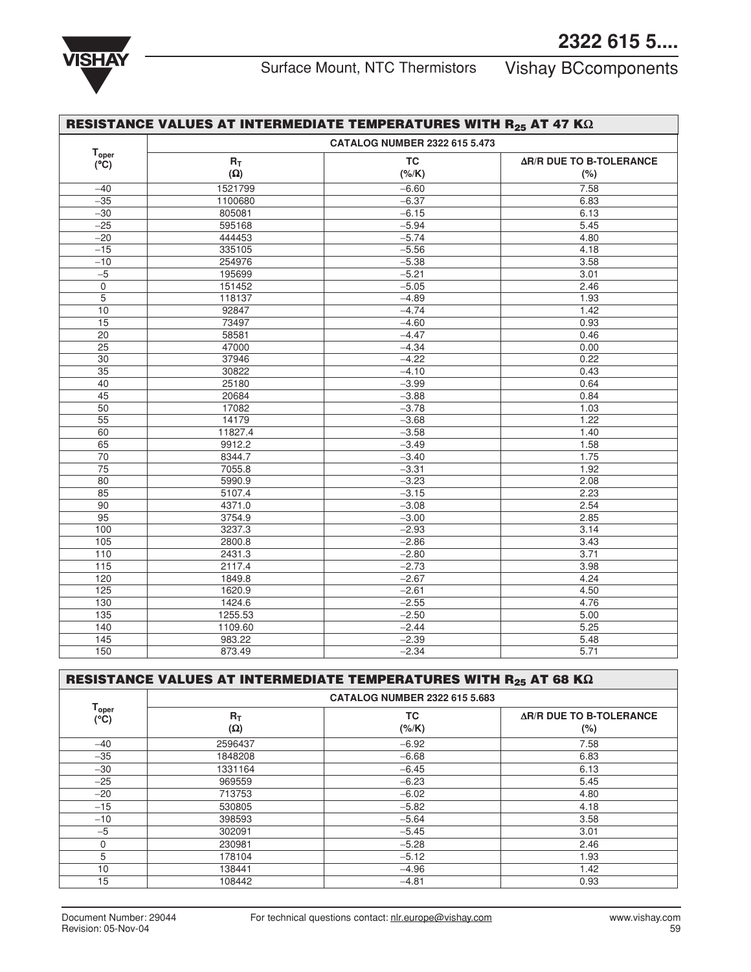

|                                 | RESISTANCE VALUES AT INTERMEDIATE TEMPERATURES WITH R <sub>25</sub> AT 47 K $\Omega$ |           |                                |  |
|---------------------------------|--------------------------------------------------------------------------------------|-----------|--------------------------------|--|
|                                 | <b>CATALOG NUMBER 2322 615 5.473</b>                                                 |           |                                |  |
| $T_{\rm oper}$<br>$(^{\circ}C)$ | $R_T$                                                                                | <b>TC</b> | <b>AR/R DUE TO B-TOLERANCE</b> |  |
|                                 | $(\Omega)$                                                                           | $(*/K)$   | (%)                            |  |
| $-40$                           | 1521799                                                                              | $-6.60$   | 7.58                           |  |
| $-35$                           | 1100680                                                                              | $-6.37$   | 6.83                           |  |
| $-30$                           | 805081                                                                               | $-6.15$   | 6.13                           |  |
| $-25$                           | 595168                                                                               | $-5.94$   | 5.45                           |  |
| $-20$                           | 444453                                                                               | $-5.74$   | 4.80                           |  |
| $-15$                           | 335105                                                                               | $-5.56$   | 4.18                           |  |
| $-10$                           | 254976                                                                               | $-5.38$   | 3.58                           |  |
| $-5$                            | 195699                                                                               | $-5.21$   | 3.01                           |  |
| $\mathsf{O}\xspace$             | 151452                                                                               | $-5.05$   | 2.46                           |  |
| 5                               | 118137                                                                               | $-4.89$   | 1.93                           |  |
| 10                              | 92847                                                                                | $-4.74$   | 1.42                           |  |
| $\overline{15}$                 | 73497                                                                                | $-4.60$   | 0.93                           |  |
| $\overline{20}$                 | 58581                                                                                | $-4.47$   | 0.46                           |  |
| 25                              | 47000                                                                                | $-4.34$   | 0.00                           |  |
| 30                              | 37946                                                                                | $-4.22$   | 0.22                           |  |
| $\overline{35}$                 | 30822                                                                                | $-4.10$   | 0.43                           |  |
| 40                              | 25180                                                                                | $-3.99$   | 0.64                           |  |
| 45                              | 20684                                                                                | $-3.88$   | 0.84                           |  |
| 50                              | 17082                                                                                | $-3.78$   | 1.03                           |  |
| $\overline{55}$                 | 14179                                                                                | $-3.68$   | 1.22                           |  |
| 60                              | 11827.4                                                                              | $-3.58$   | 1.40                           |  |
| 65                              | 9912.2                                                                               | $-3.49$   | 1.58                           |  |
| $\overline{70}$                 | 8344.7                                                                               | $-3.40$   | 1.75                           |  |
| $\overline{75}$                 | 7055.8                                                                               | $-3.31$   | 1.92                           |  |
| 80                              | 5990.9                                                                               | $-3.23$   | 2.08                           |  |
| $\overline{85}$                 | 5107.4                                                                               | $-3.15$   | 2.23                           |  |
| $\overline{90}$                 | 4371.0                                                                               | $-3.08$   | 2.54                           |  |
| 95                              | 3754.9                                                                               | $-3.00$   | 2.85                           |  |
| 100                             | 3237.3                                                                               | $-2.93$   | 3.14                           |  |
| $\overline{105}$                | 2800.8                                                                               | $-2.86$   | 3.43                           |  |
| 110                             | 2431.3                                                                               | $-2.80$   | 3.71                           |  |
| $\overline{115}$                | 2117.4                                                                               | $-2.73$   | 3.98                           |  |
| 120                             | 1849.8                                                                               | $-2.67$   | 4.24                           |  |
| 125                             | 1620.9                                                                               | $-2.61$   | 4.50                           |  |
| 130                             | 1424.6                                                                               | $-2.55$   | 4.76                           |  |
| 135                             | 1255.53                                                                              | $-2.50$   | 5.00                           |  |
| 140                             | 1109.60                                                                              | $-2.44$   | 5.25                           |  |
| 145                             | 983.22                                                                               | $-2.39$   | 5.48                           |  |
| 150                             | 873.49                                                                               | $-2.34$   | 5.71                           |  |

|  |  | RESISTANCE VALUES AT INTERMEDIATE TEMPERATURES WITH R <sub>25</sub> AT 68 K $\Omega$ |
|--|--|--------------------------------------------------------------------------------------|
|  |  |                                                                                      |

|                           | <b>CATALOG NUMBER 2322 615 5.683</b> |               |                                          |  |  |
|---------------------------|--------------------------------------|---------------|------------------------------------------|--|--|
| T <sub>oper</sub><br>(°C) | $R_T$<br>$(\Omega)$                  | ТC<br>(% / K) | <b>AR/R DUE TO B-TOLERANCE</b><br>$(\%)$ |  |  |
| $-40$                     | 2596437                              | $-6.92$       | 7.58                                     |  |  |
| $-35$                     | 1848208                              | $-6.68$       | 6.83                                     |  |  |
| $-30$                     | 1331164                              | $-6.45$       | 6.13                                     |  |  |
| $-25$                     | 969559                               | $-6.23$       | 5.45                                     |  |  |
| $-20$                     | 713753                               | $-6.02$       | 4.80                                     |  |  |
| $-15$                     | 530805                               | $-5.82$       | 4.18                                     |  |  |
| $-10$                     | 398593                               | $-5.64$       | 3.58                                     |  |  |
| $-5$                      | 302091                               | $-5.45$       | 3.01                                     |  |  |
| O                         | 230981                               | $-5.28$       | 2.46                                     |  |  |
| 5                         | 178104                               | $-5.12$       | 1.93                                     |  |  |
| 10                        | 138441                               | $-4.96$       | 1.42                                     |  |  |
| 15                        | 108442                               | $-4.81$       | 0.93                                     |  |  |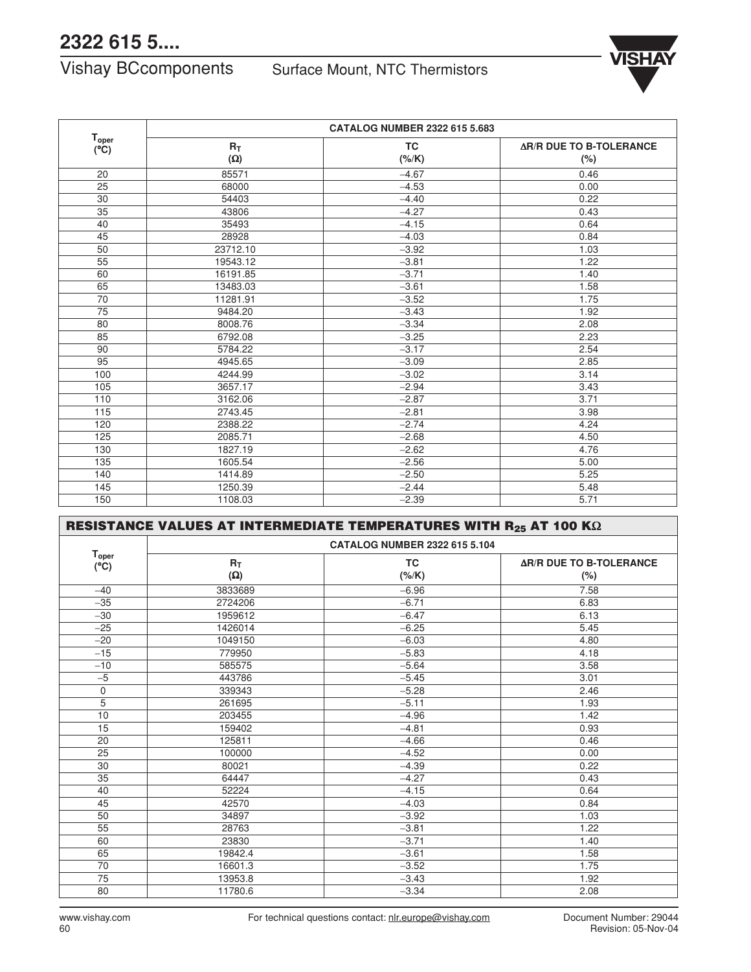## **2322 615 5....**

Vishay BCcomponents Surface Mount, NTC Thermistors



|                           | <b>CATALOG NUMBER 2322 615 5.683</b> |           |                                |  |
|---------------------------|--------------------------------------|-----------|--------------------------------|--|
| $T_{\text{oper}}$<br>(°C) | $R_T$                                | <b>TC</b> | <b>AR/R DUE TO B-TOLERANCE</b> |  |
|                           | $(\Omega)$                           | $(*/K)$   | (%)                            |  |
| 20                        | 85571                                | $-4.67$   | 0.46                           |  |
| 25                        | 68000                                | $-4.53$   | 0.00                           |  |
| 30                        | 54403                                | $-4.40$   | 0.22                           |  |
| 35                        | 43806                                | $-4.27$   | 0.43                           |  |
| 40                        | 35493                                | $-4.15$   | 0.64                           |  |
| 45                        | 28928                                | $-4.03$   | 0.84                           |  |
| 50                        | 23712.10                             | $-3.92$   | 1.03                           |  |
| 55                        | 19543.12                             | $-3.81$   | 1.22                           |  |
| 60                        | 16191.85                             | $-3.71$   | 1.40                           |  |
| 65                        | 13483.03                             | $-3.61$   | 1.58                           |  |
| 70                        | 11281.91                             | $-3.52$   | 1.75                           |  |
| 75                        | 9484.20                              | $-3.43$   | 1.92                           |  |
| 80                        | 8008.76                              | $-3.34$   | 2.08                           |  |
| 85                        | 6792.08                              | $-3.25$   | 2.23                           |  |
| 90                        | 5784.22                              | $-3.17$   | 2.54                           |  |
| 95                        | 4945.65                              | $-3.09$   | 2.85                           |  |
| 100                       | 4244.99                              | $-3.02$   | 3.14                           |  |
| 105                       | 3657.17                              | $-2.94$   | 3.43                           |  |
| 110                       | 3162.06                              | $-2.87$   | 3.71                           |  |
| 115                       | 2743.45                              | $-2.81$   | 3.98                           |  |
| 120                       | 2388.22                              | $-2.74$   | 4.24                           |  |
| 125                       | 2085.71                              | $-2.68$   | 4.50                           |  |
| 130                       | 1827.19                              | $-2.62$   | 4.76                           |  |
| 135                       | 1605.54                              | $-2.56$   | 5.00                           |  |
| 140                       | 1414.89                              | $-2.50$   | 5.25                           |  |
| 145                       | 1250.39                              | $-2.44$   | 5.48                           |  |
| 150                       | 1108.03                              | $-2.39$   | 5.71                           |  |

|                                    | RESISTANCE VALUES AT INTERMEDIATE TEMPERATURES WITH R25 AT 100 K $\Omega$ |           |                                |  |  |  |
|------------------------------------|---------------------------------------------------------------------------|-----------|--------------------------------|--|--|--|
|                                    | <b>CATALOG NUMBER 2322 615 5.104</b>                                      |           |                                |  |  |  |
| $T_{\text{oper}}$<br>$(^{\circ}C)$ | $R_T$                                                                     | <b>TC</b> | <b>AR/R DUE TO B-TOLERANCE</b> |  |  |  |
|                                    | $(\Omega)$                                                                | $(*/K)$   | $(\%)$                         |  |  |  |
| $-40$                              | 3833689                                                                   | $-6.96$   | 7.58                           |  |  |  |
| $-35$                              | 2724206                                                                   | $-6.71$   | 6.83                           |  |  |  |
| $-30$                              | 1959612                                                                   | $-6.47$   | 6.13                           |  |  |  |
| $-25$                              | 1426014                                                                   | $-6.25$   | 5.45                           |  |  |  |
| $-20$                              | 1049150                                                                   | $-6.03$   | 4.80                           |  |  |  |
| $-15$                              | 779950                                                                    | $-5.83$   | 4.18                           |  |  |  |
| $-10$                              | 585575                                                                    | $-5.64$   | 3.58                           |  |  |  |
| $-5$                               | 443786                                                                    | $-5.45$   | 3.01                           |  |  |  |
| $\mathbf 0$                        | 339343                                                                    | $-5.28$   | 2.46                           |  |  |  |
| 5                                  | 261695                                                                    | $-5.11$   | 1.93                           |  |  |  |
| 10                                 | 203455                                                                    | $-4.96$   | 1.42                           |  |  |  |
| 15                                 | 159402                                                                    | $-4.81$   | 0.93                           |  |  |  |
| 20                                 | 125811                                                                    | $-4.66$   | 0.46                           |  |  |  |
| 25                                 | 100000                                                                    | $-4.52$   | 0.00                           |  |  |  |
| 30                                 | 80021                                                                     | $-4.39$   | 0.22                           |  |  |  |
| 35                                 | 64447                                                                     | $-4.27$   | 0.43                           |  |  |  |
| 40                                 | 52224                                                                     | $-4.15$   | 0.64                           |  |  |  |
| 45                                 | 42570                                                                     | $-4.03$   | 0.84                           |  |  |  |
| 50                                 | 34897                                                                     | $-3.92$   | 1.03                           |  |  |  |
| 55                                 | 28763                                                                     | $-3.81$   | 1.22                           |  |  |  |
| 60                                 | 23830                                                                     | $-3.71$   | 1.40                           |  |  |  |
| 65                                 | 19842.4                                                                   | $-3.61$   | 1.58                           |  |  |  |
| 70                                 | 16601.3                                                                   | $-3.52$   | 1.75                           |  |  |  |
| 75                                 | 13953.8                                                                   | $-3.43$   | 1.92                           |  |  |  |
| 80                                 | 11780.6                                                                   | $-3.34$   | 2.08                           |  |  |  |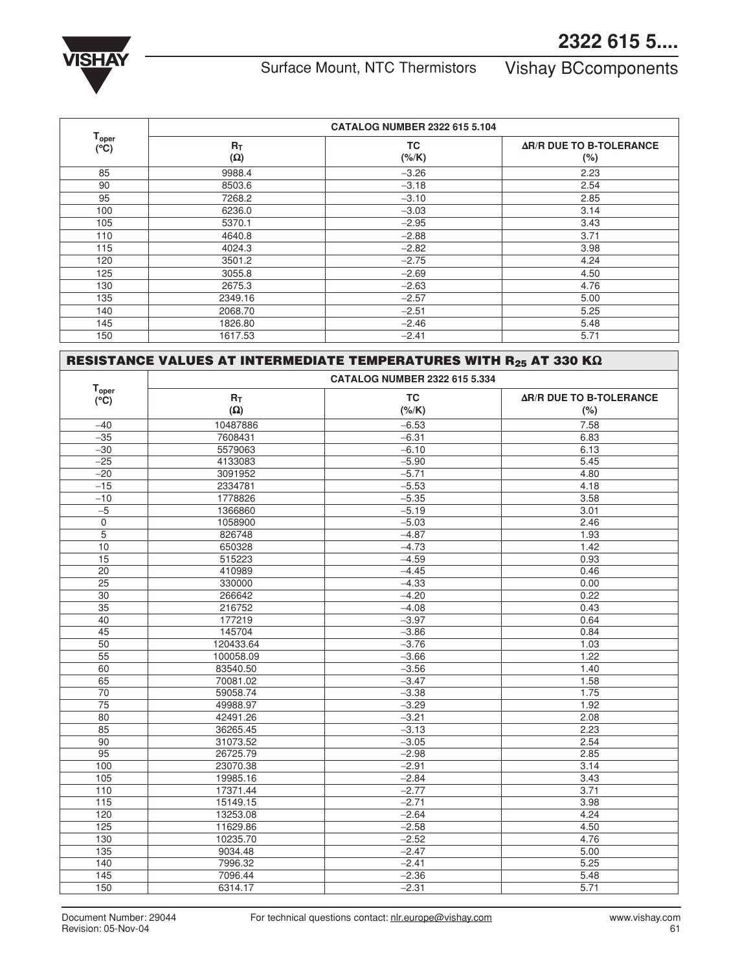## **2322 615 5....**



# Surface Mount, NTC Thermistors Vishay BCcomponents

| T <sub>oper</sub><br>(°C) | <b>CATALOG NUMBER 2322 615 5.104</b> |                      |                                           |  |
|---------------------------|--------------------------------------|----------------------|-------------------------------------------|--|
|                           | $R_T$<br>$(\Omega)$                  | <b>TC</b><br>$(*/K)$ | <b>AR/R DUE TO B-TOLERANCE</b><br>$(\% )$ |  |
| 85                        | 9988.4                               | $-3.26$              | 2.23                                      |  |
| 90                        | 8503.6                               | $-3.18$              | 2.54                                      |  |
| 95                        | 7268.2                               | $-3.10$              | 2.85                                      |  |
| 100                       | 6236.0                               | $-3.03$              | 3.14                                      |  |
| 105                       | 5370.1                               | $-2.95$              | 3.43                                      |  |
| 110                       | 4640.8                               | $-2.88$              | 3.71                                      |  |
| 115                       | 4024.3                               | $-2.82$              | 3.98                                      |  |
| 120                       | 3501.2                               | $-2.75$              | 4.24                                      |  |
| 125                       | 3055.8                               | $-2.69$              | 4.50                                      |  |
| 130                       | 2675.3                               | $-2.63$              | 4.76                                      |  |
| 135                       | 2349.16                              | $-2.57$              | 5.00                                      |  |
| 140                       | 2068.70                              | $-2.51$              | 5.25                                      |  |
| 145                       | 1826.80                              | $-2.46$              | 5.48                                      |  |
| 150                       | 1617.53                              | $-2.41$              | 5.71                                      |  |

|                                    | RESISTANCE VALUES AT INTERMEDIATE TEMPERATURES WITH R25 AT 330 K $\Omega$ |           |                                |  |  |
|------------------------------------|---------------------------------------------------------------------------|-----------|--------------------------------|--|--|
|                                    | <b>CATALOG NUMBER 2322 615 5.334</b>                                      |           |                                |  |  |
| $T_{\text{oper}}$<br>$(^{\circ}C)$ | $R_T$                                                                     | <b>TC</b> | <b>AR/R DUE TO B-TOLERANCE</b> |  |  |
|                                    | $(\Omega)$                                                                | $(*/K)$   | (%)                            |  |  |
| $-40$                              | 10487886                                                                  | $-6.53$   | 7.58                           |  |  |
| $-35$                              | 7608431                                                                   | $-6.31$   | 6.83                           |  |  |
| $-30$                              | 5579063                                                                   | $-6.10$   | 6.13                           |  |  |
| $-25$                              | 4133083                                                                   | $-5.90$   | 5.45                           |  |  |
| $-20$                              | 3091952                                                                   | $-5.71$   | 4.80                           |  |  |
| $-15$                              | 2334781                                                                   | $-5.53$   | 4.18                           |  |  |
| $-10$                              | 1778826                                                                   | $-5.35$   | 3.58                           |  |  |
| $-5$                               | 1366860                                                                   | $-5.19$   | 3.01                           |  |  |
| $\mathbf 0$                        | 1058900                                                                   | $-5.03$   | 2.46                           |  |  |
| $\overline{5}$                     | 826748                                                                    | $-4.87$   | 1.93                           |  |  |
| 10                                 | 650328                                                                    | $-4.73$   | 1.42                           |  |  |
| $\overline{15}$                    | 515223                                                                    | $-4.59$   | 0.93                           |  |  |
| 20                                 | 410989                                                                    | $-4.45$   | 0.46                           |  |  |
| $\overline{25}$                    | 330000                                                                    | $-4.33$   | 0.00                           |  |  |
| 30                                 | 266642                                                                    | $-4.20$   | 0.22                           |  |  |
| $\overline{35}$                    | 216752                                                                    | $-4.08$   | 0.43                           |  |  |
| $\overline{40}$                    | 177219                                                                    | $-3.97$   | 0.64                           |  |  |
| $\overline{45}$                    | 145704                                                                    | $-3.86$   | 0.84                           |  |  |
| 50                                 | 120433.64                                                                 | $-3.76$   | 1.03                           |  |  |
| $\overline{55}$                    | 100058.09                                                                 | $-3.66$   | 1.22                           |  |  |
| 60                                 | 83540.50                                                                  | $-3.56$   | 1.40                           |  |  |
| 65                                 | 70081.02                                                                  | $-3.47$   | 1.58                           |  |  |
| $\overline{70}$                    | 59058.74                                                                  | $-3.38$   | 1.75                           |  |  |
| $\overline{75}$                    | 49988.97                                                                  | $-3.29$   | 1.92                           |  |  |
| 80                                 | 42491.26                                                                  | $-3.21$   | 2.08                           |  |  |
| 85                                 | 36265.45                                                                  | $-3.13$   | 2.23                           |  |  |
| 90                                 | 31073.52                                                                  | $-3.05$   | 2.54                           |  |  |
| 95                                 | 26725.79                                                                  | $-2.98$   | 2.85                           |  |  |
| 100                                | 23070.38                                                                  | $-2.91$   | 3.14                           |  |  |
| $\frac{105}{105}$                  | 19985.16                                                                  | $-2.84$   | 3.43                           |  |  |
| 110                                | 17371.44                                                                  | $-2.77$   | 3.71                           |  |  |
| 115                                | 15149.15                                                                  | $-2.71$   | 3.98                           |  |  |
| 120                                | 13253.08                                                                  | $-2.64$   | 4.24                           |  |  |
| 125                                | 11629.86                                                                  | $-2.58$   | 4.50                           |  |  |
| $\overline{130}$                   | 10235.70                                                                  | $-2.52$   | 4.76                           |  |  |
| $\overline{135}$                   | 9034.48                                                                   | $-2.47$   | 5.00                           |  |  |
| 140                                | 7996.32                                                                   | $-2.41$   | 5.25                           |  |  |
| $\overline{145}$                   | 7096.44                                                                   | $-2.36$   | 5.48                           |  |  |
| 150                                | 6314.17                                                                   | $-2.31$   | 5.71                           |  |  |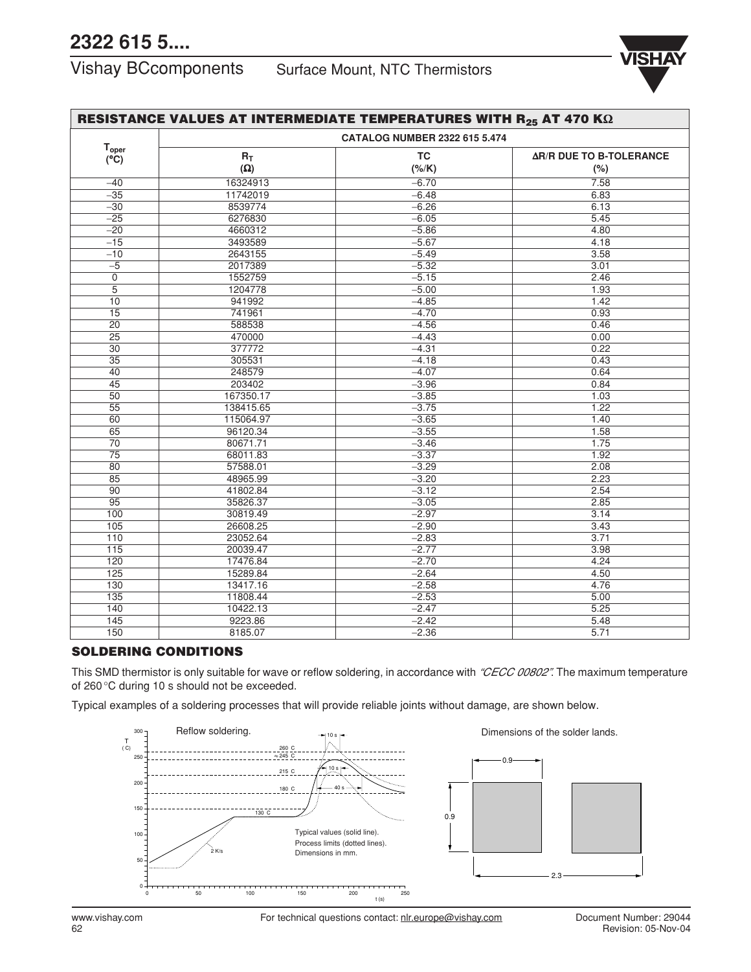# **2322 615 5....**

## Vishay BCcomponents Surface Mount, NTC Thermistors



| RESISTANCE VALUES AT INTERMEDIATE TEMPERATURES WITH R25 AT 470 K $\Omega$ |            |                                      |                                |  |  |  |
|---------------------------------------------------------------------------|------------|--------------------------------------|--------------------------------|--|--|--|
|                                                                           |            | <b>CATALOG NUMBER 2322 615 5.474</b> |                                |  |  |  |
| <b>T</b> <sub>oper</sub><br>$(^{\circ}C)$                                 | $R_T$      | <b>TC</b>                            | <b>AR/R DUE TO B-TOLERANCE</b> |  |  |  |
|                                                                           | $(\Omega)$ | $(*/K)$                              | $(\% )$                        |  |  |  |
| $-40$                                                                     | 16324913   | $-6.70$                              | 7.58                           |  |  |  |
| $-35$                                                                     | 11742019   | $-6.48$                              | 6.83                           |  |  |  |
| $-30$                                                                     | 8539774    | $-6.26$                              | 6.13                           |  |  |  |
| $-25$                                                                     | 6276830    | $-6.05$                              | 5.45                           |  |  |  |
| $-20$                                                                     | 4660312    | $-5.86$                              | 4.80                           |  |  |  |
| $-15$                                                                     | 3493589    | $-5.67$                              | 4.18                           |  |  |  |
| $-10$                                                                     | 2643155    | $-5.49$                              | 3.58                           |  |  |  |
| $-5$                                                                      | 2017389    | $-5.32$                              | 3.01                           |  |  |  |
| $\overline{0}$                                                            | 1552759    | $-5.15$                              | 2.46                           |  |  |  |
| $\overline{5}$                                                            | 1204778    | $-5.00$                              | 1.93                           |  |  |  |
| 10                                                                        | 941992     | $-4.85$                              | 1.42                           |  |  |  |
| $\overline{15}$                                                           | 741961     | $-4.70$                              | 0.93                           |  |  |  |
| $\overline{20}$                                                           | 588538     | $-4.56$                              | 0.46                           |  |  |  |
| $\overline{25}$                                                           | 470000     | $-4.43$                              | 0.00                           |  |  |  |
| 30                                                                        | 377772     | $-4.31$                              | 0.22                           |  |  |  |
| $\overline{35}$                                                           | 305531     | $-4.18$                              | 0.43                           |  |  |  |
| 40                                                                        | 248579     | $-4.07$                              | 0.64                           |  |  |  |
| $\overline{45}$                                                           | 203402     | $-3.96$                              | 0.84                           |  |  |  |
| 50                                                                        | 167350.17  | $-3.85$                              | 1.03                           |  |  |  |
| $\overline{55}$                                                           | 138415.65  | $-3.75$                              | 1.22                           |  |  |  |
| 60                                                                        | 115064.97  | $-3.65$                              | 1.40                           |  |  |  |
| 65                                                                        | 96120.34   | $-3.55$                              | 1.58                           |  |  |  |
| 70                                                                        | 80671.71   | $-3.46$                              | 1.75                           |  |  |  |
| $\overline{75}$                                                           | 68011.83   | $-3.37$                              | 1.92                           |  |  |  |
| 80                                                                        | 57588.01   | $-3.29$                              | 2.08                           |  |  |  |
| 85                                                                        | 48965.99   | $-3.20$                              | 2.23                           |  |  |  |
| 90                                                                        | 41802.84   | $-3.12$                              | 2.54                           |  |  |  |
| 95                                                                        | 35826.37   | $-3.05$                              | 2.85                           |  |  |  |
| 100                                                                       | 30819.49   | $-2.97$                              | 3.14                           |  |  |  |
| 105                                                                       | 26608.25   | $-2.90$                              | 3.43                           |  |  |  |
| 110                                                                       | 23052.64   | $-2.83$                              | 3.71                           |  |  |  |
| 115                                                                       | 20039.47   | $-2.77$                              | 3.98                           |  |  |  |
| 120                                                                       | 17476.84   | $-2.70$                              | 4.24                           |  |  |  |
| 125                                                                       | 15289.84   | $-2.64$                              | 4.50                           |  |  |  |
| 130                                                                       | 13417.16   | $-2.58$                              | 4.76                           |  |  |  |
| $\overline{135}$                                                          | 11808.44   | $-2.53$                              | 5.00                           |  |  |  |
| 140                                                                       | 10422.13   | $-2.47$                              | 5.25                           |  |  |  |
| 145                                                                       | 9223.86    | $-2.42$                              | 5.48                           |  |  |  |
| 150                                                                       | 8185.07    | $-2.36$                              | 5.71                           |  |  |  |

## **SOLDERING CONDITIONS**

This SMD thermistor is only suitable for wave or reflow soldering, in accordance with *"CECC 00802"*. The maximum temperature of 260 ∞C during 10 s should not be exceeded.

Typical examples of a soldering processes that will provide reliable joints without damage, are shown below.



www.vishay.com For technical questions contact: nlr.europe@vishay.com Document Number: 29044